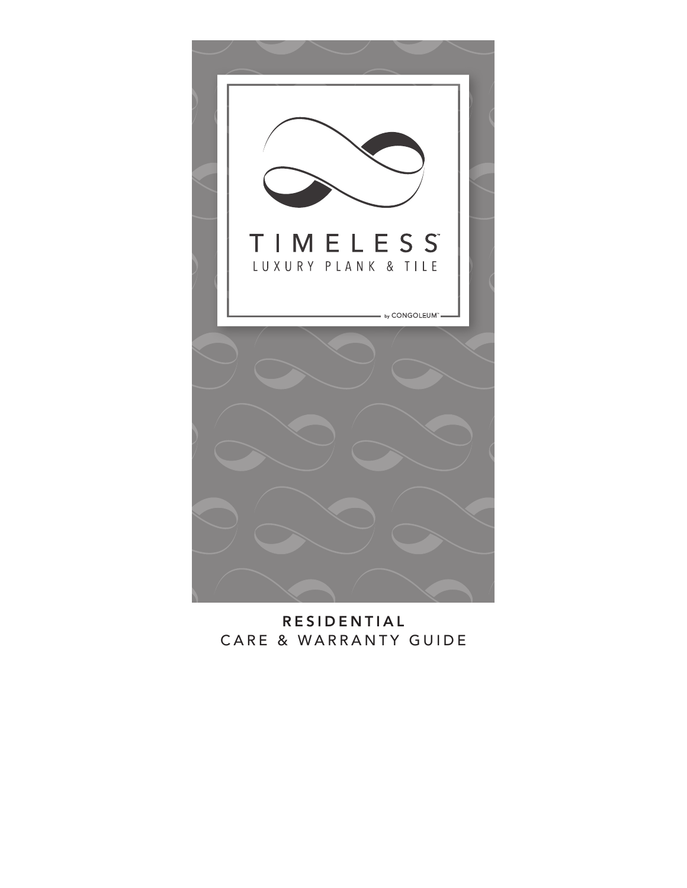

RESIDENTIAL CARE & WARRANTY GUIDE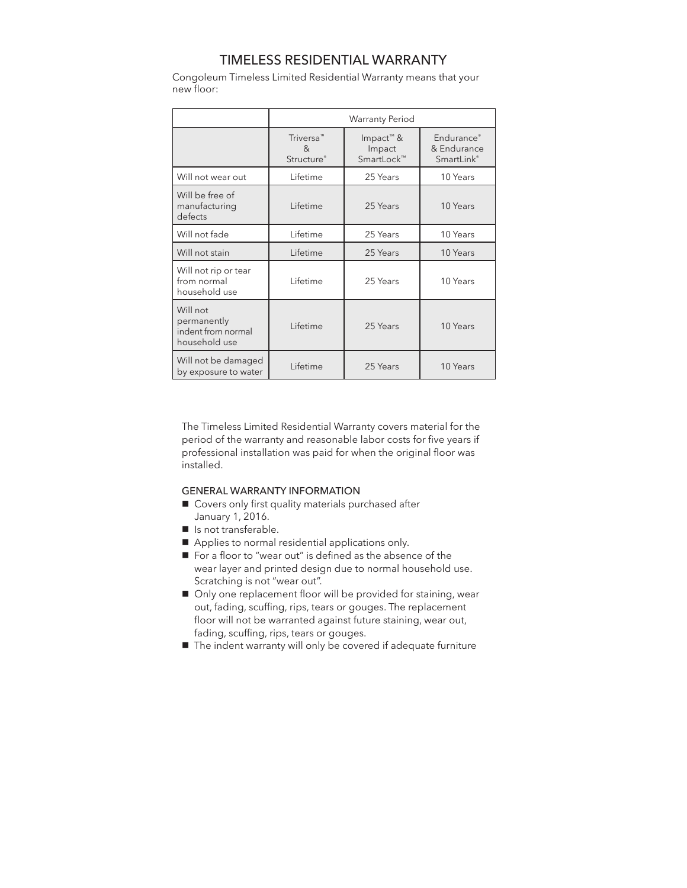# TIMELESS RESIDENTIAL WARRANTY

Congoleum Timeless Limited Residential Warranty means that your new floor:

|                                                                | <b>Warranty Period</b>                                                 |                                               |                                                     |
|----------------------------------------------------------------|------------------------------------------------------------------------|-----------------------------------------------|-----------------------------------------------------|
|                                                                | Triversa <sup>™</sup><br><sub>R</sub><br><b>Structure</b> <sup>®</sup> | Impact <sup>™</sup> &<br>Impact<br>SmartLock™ | Endurance <sup>®</sup><br>& Endurance<br>SmartLink® |
| Will not wear out                                              | Lifetime                                                               | 25 Years                                      | 10 Years                                            |
| Will be free of<br>manufacturing<br>defects                    | Lifetime                                                               | 25 Years                                      | 10 Years                                            |
| Will not fade                                                  | Lifetime                                                               | 25 Years                                      | 10 Years                                            |
| Will not stain                                                 | Lifetime                                                               | 25 Years                                      | 10 Years                                            |
| Will not rip or tear<br>from normal<br>household use           | Lifetime                                                               | 25 Years                                      | 10 Years                                            |
| Will not<br>permanently<br>indent from normal<br>household use | Lifetime                                                               | 25 Years                                      | 10 Years                                            |
| Will not be damaged<br>by exposure to water                    | Lifetime                                                               | 25 Years                                      | 10 Years                                            |

The Timeless Limited Residential Warranty covers material for the period of the warranty and reasonable labor costs for five years if professional installation was paid for when the original floor was installed.

### GENERAL WARRANTY INFORMATION

- Covers only first quality materials purchased after January 1, 2016.
- **n** Is not transferable.
- Applies to normal residential applications only.
- For a floor to "wear out" is defined as the absence of the wear layer and printed design due to normal household use. Scratching is not "wear out".
- Only one replacement floor will be provided for staining, wear out, fading, scuffing, rips, tears or gouges. The replacement floor will not be warranted against future staining, wear out, fading, scuffing, rips, tears or gouges.
- The indent warranty will only be covered if adequate furniture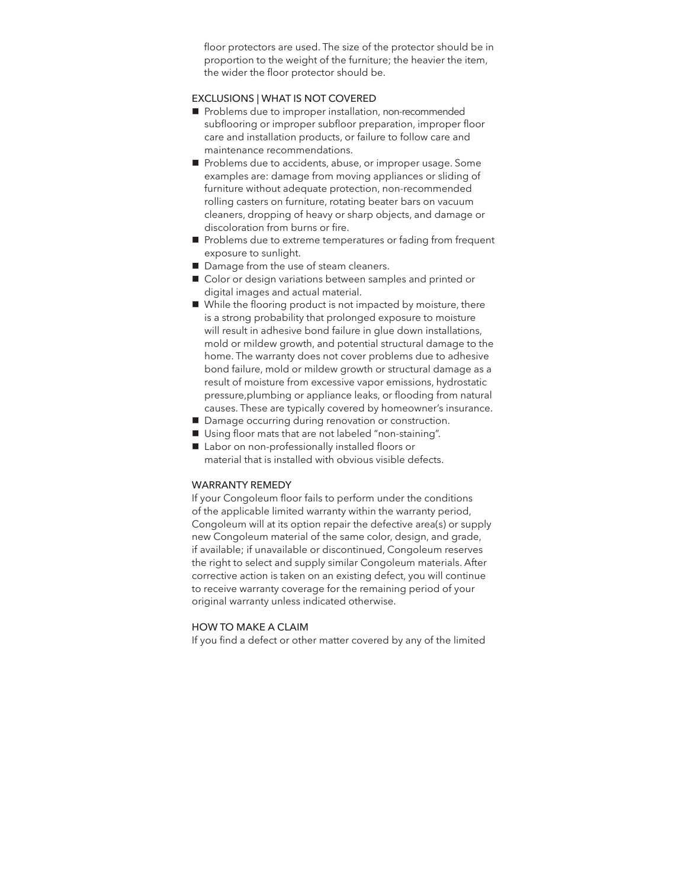floor protectors are used. The size of the protector should be in proportion to the weight of the furniture; the heavier the item, the wider the floor protector should be.

### EXCLUSIONS | WHAT IS NOT COVERED

- Problems due to improper installation, non-recommended subflooring or improper subfloor preparation, improper floor care and installation products, or failure to follow care and maintenance recommendations.
- Problems due to accidents, abuse, or improper usage. Some examples are: damage from moving appliances or sliding of furniture without adequate protection, non-recommended rolling casters on furniture, rotating beater bars on vacuum cleaners, dropping of heavy or sharp objects, and damage or discoloration from burns or fire.
- Problems due to extreme temperatures or fading from frequent exposure to sunlight.
- Damage from the use of steam cleaners.
- Color or design variations between samples and printed or digital images and actual material.
- $\blacksquare$  While the flooring product is not impacted by moisture, there is a strong probability that prolonged exposure to moisture will result in adhesive bond failure in glue down installations, mold or mildew growth, and potential structural damage to the home. The warranty does not cover problems due to adhesive bond failure, mold or mildew growth or structural damage as a result of moisture from excessive vapor emissions, hydrostatic pressure,plumbing or appliance leaks, or flooding from natural causes. These are typically covered by homeowner's insurance.
- Damage occurring during renovation or construction.
- Using floor mats that are not labeled "non-staining".
- Labor on non-professionally installed floors or material that is installed with obvious visible defects.

#### WARRANTY REMEDY

If your Congoleum floor fails to perform under the conditions of the applicable limited warranty within the warranty period, Congoleum will at its option repair the defective area(s) or supply new Congoleum material of the same color, design, and grade, if available; if unavailable or discontinued, Congoleum reserves the right to select and supply similar Congoleum materials. After corrective action is taken on an existing defect, you will continue to receive warranty coverage for the remaining period of your original warranty unless indicated otherwise.

### HOW TO MAKE A CLAIM

If you find a defect or other matter covered by any of the limited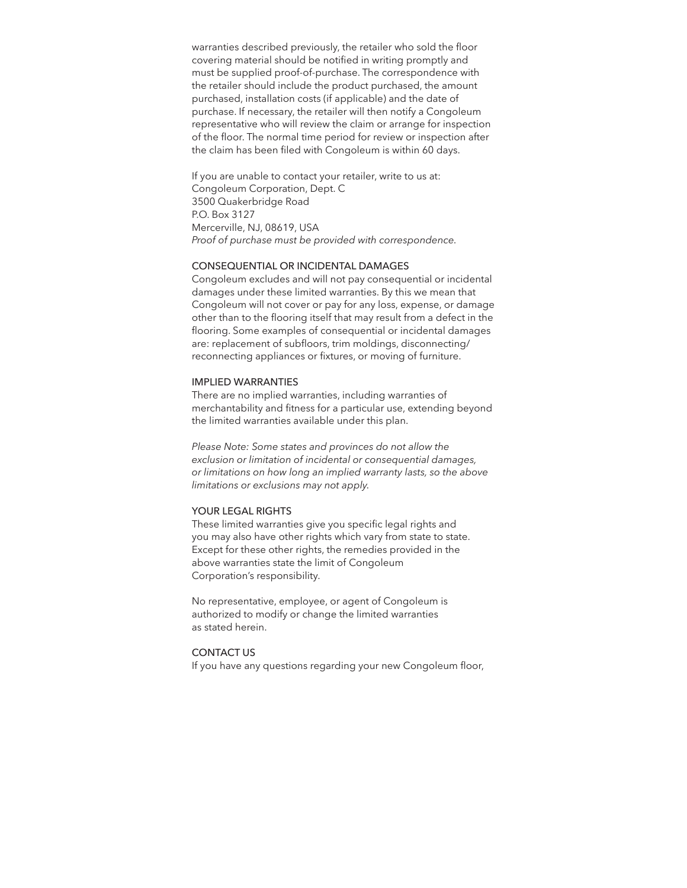warranties described previously, the retailer who sold the floor covering material should be notified in writing promptly and must be supplied proof-of-purchase. The correspondence with the retailer should include the product purchased, the amount purchased, installation costs (if applicable) and the date of purchase. If necessary, the retailer will then notify a Congoleum representative who will review the claim or arrange for inspection of the floor. The normal time period for review or inspection after the claim has been filed with Congoleum is within 60 days.

If you are unable to contact your retailer, write to us at: Congoleum Corporation, Dept. C 3500 Quakerbridge Road P.O. Box 3127 Mercerville, NJ, 08619, USA *Proof of purchase must be provided with correspondence.*

### CONSEQUENTIAL OR INCIDENTAL DAMAGES

Congoleum excludes and will not pay consequential or incidental damages under these limited warranties. By this we mean that Congoleum will not cover or pay for any loss, expense, or damage other than to the flooring itself that may result from a defect in the flooring. Some examples of consequential or incidental damages are: replacement of subfloors, trim moldings, disconnecting/ reconnecting appliances or fixtures, or moving of furniture.

#### IMPLIED WARRANTIES

There are no implied warranties, including warranties of merchantability and fitness for a particular use, extending beyond the limited warranties available under this plan.

*Please Note: Some states and provinces do not allow the exclusion or limitation of incidental or consequential damages, or limitations on how long an implied warranty lasts, so the above limitations or exclusions may not apply.*

#### YOUR LEGAL RIGHTS

These limited warranties give you specific legal rights and you may also have other rights which vary from state to state. Except for these other rights, the remedies provided in the above warranties state the limit of Congoleum Corporation's responsibility.

No representative, employee, or agent of Congoleum is authorized to modify or change the limited warranties as stated herein.

### CONTACT US

If you have any questions regarding your new Congoleum floor,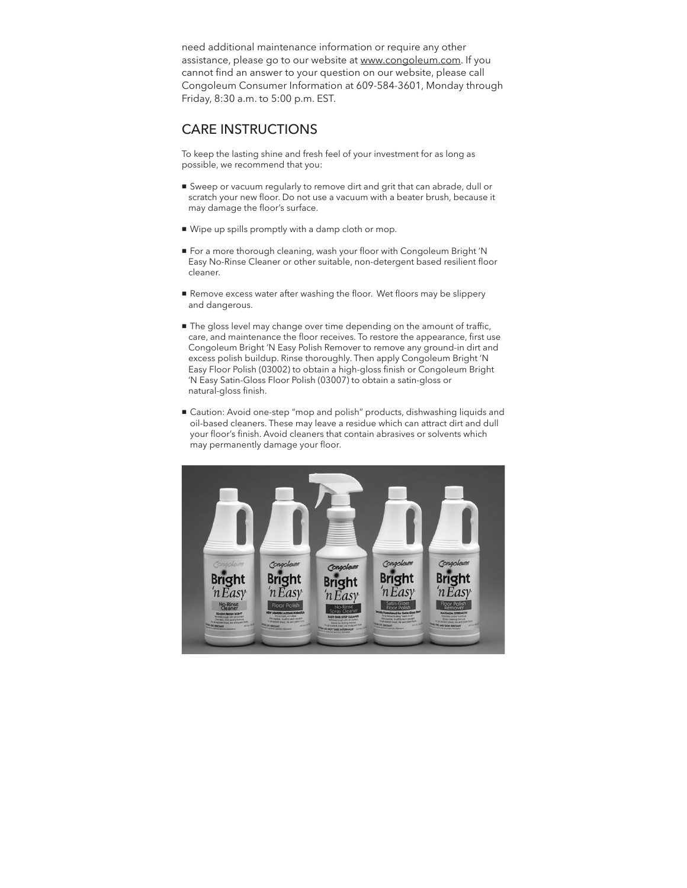need additional maintenance information or require any other assistance, please go to our website at www.congoleum.com. If you cannot find an answer to your question on our website, please call Congoleum Consumer Information at 609-584-3601, Monday through Friday, 8:30 a.m. to 5:00 p.m. EST.

# CARE INSTRUCTIONS

To keep the lasting shine and fresh feel of your investment for as long as possible, we recommend that you:

- Sweep or vacuum regularly to remove dirt and grit that can abrade, dull or scratch your new floor. Do not use a vacuum with a beater brush, because it may damage the floor's surface.
- n Wipe up spills promptly with a damp cloth or mop.
- n For a more thorough cleaning, wash your floor with Congoleum Bright 'N Easy No-Rinse Cleaner or other suitable, non-detergent based resilient floor cleaner.
- Remove excess water after washing the floor. Wet floors may be slippery and dangerous.
- $\blacksquare$  The gloss level may change over time depending on the amount of traffic, care, and maintenance the floor receives. To restore the appearance, first use Congoleum Bright 'N Easy Polish Remover to remove any ground-in dirt and excess polish buildup. Rinse thoroughly. Then apply Congoleum Bright 'N Easy Floor Polish (03002) to obtain a high-gloss finish or Congoleum Bright 'N Easy Satin-Gloss Floor Polish (03007) to obtain a satin-gloss or natural-gloss finish.
- n Caution: Avoid one-step "mop and polish" products, dishwashing liquids and oil-based cleaners. These may leave a residue which can attract dirt and dull your floor's finish. Avoid cleaners that contain abrasives or solvents which may permanently damage your floor.